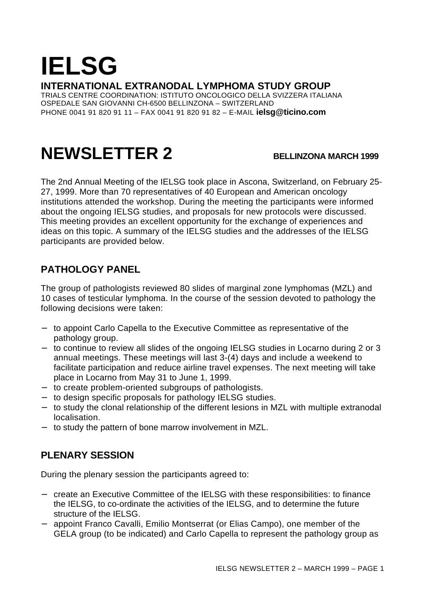# **IELSG**

**INTERNATIONAL EXTRANODAL LYMPHOMA STUDY GROUP**

TRIALS CENTRE COORDINATION: ISTITUTO ONCOLOGICO DELLA SVIZZERA ITALIANA OSPEDALE SAN GIOVANNI CH-6500 BELLINZONA – SWITZERLAND PHONE 0041 91 820 91 11 – FAX 0041 91 820 91 82 – E-MAIL **ielsg@ticino.com**

## **NEWSLETTER 2 BELLINZONA MARCH 1999**

The 2nd Annual Meeting of the IELSG took place in Ascona, Switzerland, on February 25- 27, 1999. More than 70 representatives of 40 European and American oncology institutions attended the workshop. During the meeting the participants were informed about the ongoing IELSG studies, and proposals for new protocols were discussed. This meeting provides an excellent opportunity for the exchange of experiences and ideas on this topic. A summary of the IELSG studies and the addresses of the IELSG participants are provided below.

#### **PATHOLOGY PANEL**

The group of pathologists reviewed 80 slides of marginal zone lymphomas (MZL) and 10 cases of testicular lymphoma. In the course of the session devoted to pathology the following decisions were taken:

- − to appoint Carlo Capella to the Executive Committee as representative of the pathology group.
- − to continue to review all slides of the ongoing IELSG studies in Locarno during 2 or 3 annual meetings. These meetings will last 3-(4) days and include a weekend to facilitate participation and reduce airline travel expenses. The next meeting will take place in Locarno from May 31 to June 1, 1999.
- − to create problem-oriented subgroups of pathologists.
- − to design specific proposals for pathology IELSG studies.
- − to study the clonal relationship of the different lesions in MZL with multiple extranodal localisation.
- − to study the pattern of bone marrow involvement in MZL.

### **PLENARY SESSION**

During the plenary session the participants agreed to:

- − create an Executive Committee of the IELSG with these responsibilities: to finance the IELSG, to co-ordinate the activities of the IELSG, and to determine the future structure of the IELSG.
- − appoint Franco Cavalli, Emilio Montserrat (or Elias Campo), one member of the GELA group (to be indicated) and Carlo Capella to represent the pathology group as